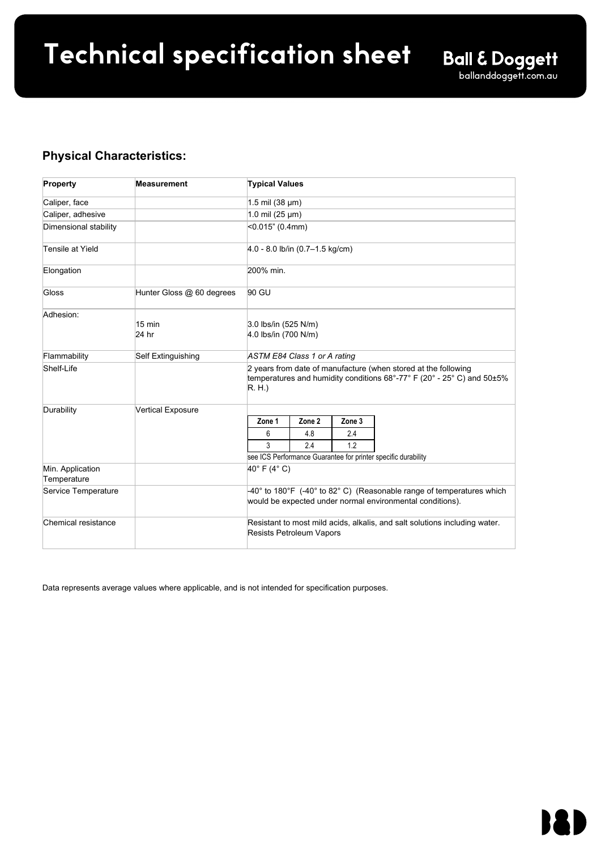# **Technical specification sheet** Ball & Doggett

ballanddoggett.com.au

| <b>Physical Characteristics:</b><br><b>Property</b>                       |                                                                                                                             | Value                                                                                                                                                     |
|---------------------------------------------------------------------------|-----------------------------------------------------------------------------------------------------------------------------|-----------------------------------------------------------------------------------------------------------------------------------------------------------|
| Caliper, face                                                             |                                                                                                                             | 3.4 mil (86 µm)                                                                                                                                           |
| Caliper, adhesive                                                         |                                                                                                                             | 1.0 $min(25 \mu m)$                                                                                                                                       |
| Dimensional                                                               |                                                                                                                             | <0.035"(0.89 mm)                                                                                                                                          |
| stability                                                                 |                                                                                                                             | Note: Ink loads in excess of 250%<br>may cause increased shrinkage of<br>the printed film.                                                                |
| Tensile at Yield                                                          |                                                                                                                             | 9.0 -15.0 lb/in (1.6 - 2.7<br>kg/cm)                                                                                                                      |
| Elongation                                                                |                                                                                                                             | 100% min.                                                                                                                                                 |
| Gloss                                                                     | Hunter Gloss @ 60                                                                                                           | <16                                                                                                                                                       |
| Adhesion (24 hr.)<br><b>LSE</b><br><b>LSE</b><br><b>LSE</b><br><b>LSE</b> | <b>Plastics</b><br>Clearcoats<br>Paints<br><b>Textured substrates</b><br><b>Stainless Steel</b><br>LSE - Low Surface Energy | 4.1 lbs/in (718 N/m)<br>4.3 lbs/in (753 N/m)<br>4.5 lbs/in (788 N/m)<br>3.5 lbs/in (613 N/m)<br>5.5 lbs/in (963 N/m)                                      |
| Flammability                                                              |                                                                                                                             | Self Extinguishing                                                                                                                                        |
| Shelf-Life                                                                |                                                                                                                             | 2 years from date of<br>manufacture<br>when stored at the following<br>temperatures and humidity<br>conditions 68°-77° F (20° - 25°<br>C) and 50±5% R. H. |
| Durability                                                                | Vertical Exposure                                                                                                           | 6 years                                                                                                                                                   |
| Opacity                                                                   |                                                                                                                             | 99.6%                                                                                                                                                     |
| Min. Application<br>Temperature                                           |                                                                                                                             | 40°F (4°C)                                                                                                                                                |
| Service<br>Temperature                                                    |                                                                                                                             | -40° to 180°F (-40° to 82°<br>C) (Reasonable range of<br>temperatures which would be<br>expected under normal<br>environmental conditions).               |
| Chemical<br>resistance                                                    |                                                                                                                             | Resistant to most mild<br>acids, alkalis, and salt<br>solutions. Resists<br>exposure to fuel vapors<br>and occasional fuel spills.                        |

### Revisions are italicized

Avery Dennison® and Staflat® are registered trademarks of Avery Dennison Corporation.

Data represents average values where applicable, and is not intended for specification purposes.

## Warranty:

This Warranty applies to the Product listed in this Data Sheet. All statements, technical information (including physical and chemical characteristics) and recommendations about Avery Dennison products are based upon tests believed to be reliable but do not constitute a guarantee or warranty. All Avery Dennison products are sold subject to the Purchaser's assent and agreement that Purchaser is responsible for, and has independently determined, the suitability of such products for its purposes or its customer's purposes. Avery Dennison graphics products are warranted to be free from defects in material and workmanship for two years from the date of manufacture. When the product is properly applied, the warranty period is as stated in the product's specific Product Data Sheet in effect at the time of shipment to Avery Dennison's customer.

Such time periods are subject in either case to the proper storing and application of said product, and the failure to properly store or apply the product, including without limitation the failure to follow any applicable Instructional Bulletin, negates any warranty. It is expressly agreed and understood that Avery Dennison's sole obligation and Purchaser's exclusive remedy under this warranty, under any other warranty, express or implied, or otherwise, shall be limited exclusively to: (a) repair or replacement of defective product without charge at Avery Dennison's plant or at the location of the product (at Avery Dennison's election), or (b) in the event repair or replacement are not commercially practical, a credit amount up to the price of the product taking into account the defect in the product in Avery Dennison's sole discretion.

THE WARRANTY EXPRESSLY SET FORTH ABOVE IS IN LIEU OF ANY OTHER WARRANTIES, EXPRESS OR IMPLIED, INCLUDING, BUT NOT LIMITED TO, ANY IMPLIED WARRANTIES OF MERCHANTABILITY, FITNESS FOR ANY PARTICULAR USE AND/OR NON-INFRINGEMENT. SELLER SPECIFICALLY DISCLAIMS AND EXCLUDES ALL OTHER SUCH WARRANTIES. NO WAIVER, ALTERATION, ADDITION OR MODIFICATION OF THE FOREGOING CONDITIONS SHALL BE VALID UNLESS MADE IN WRITING AND MANUALLY SIGNED BY AN OFFICER OF AVERY DENNISON.

AVERY DENNISON'S LIABILITY FOR DEFECTIVE PRODUCTS SHALL NOT EXCEED THE PURCHASE PRICE PAID THEREFORE BY PURCHASER AND IN NO EVENT SHALL AVERY DENNISON BE RESPONSIBLE FOR ANY INCIDENTAL OR CONSEQUENTIAL DAMAGES WHETHER FORESEEABLE OR NOT, CAUSED BY DEFECTS IN SUCH PRODUCT, WHETHER SUCH DAMAGE OCCURS OR IS DISCOVERED BEFORE OR AFTER REPLACEMENT OR CREDIT, AND WHETHER OR NOT SUCH DAMAGE IS CAUSED BY AVERY DENNISON'S NEGLIGENCE.

All sales and contracts for sale of Products are subject to Purchaser's assent and agreement to this Warranty. Avery Dennison hereby objects to any terms or conditions contained in any purchase order or other communication of<br>
any kind from the Purchaser that is conflicting, inconsistent<br>
or additional to this Agreement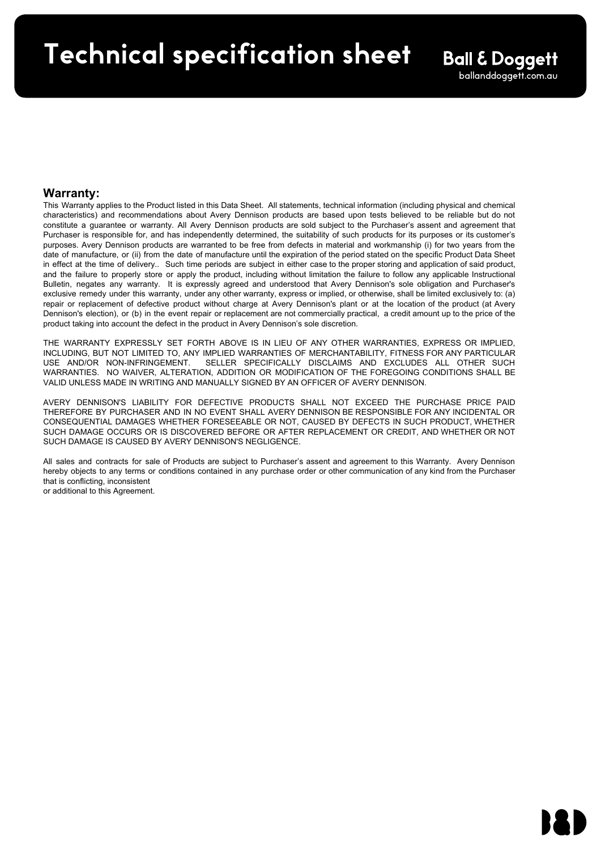# **Technical specification sheet** ification sheef

# **Warranty:**

This Warranty applies to the Product listed in this Data Sheet. All statements, technical information (including physical and chemical characteristics) and recommendations about Avery Dennison products are based upon tests believed to be reliable but do not constitute a guarantee or warranty. All Avery Dennison products are sold subject to the Purchaser's assent and agreement that Purchaser is responsible for, and has independently determined, the suitability of such products for its purposes or its customer's purposes. Avery Dennison products are warranted to be free from defects in material and workmanship (i) for two years from the date of manufacture, or (ii) from the date of manufacture until the expiration of the period stated on the specific Product Data Sheet in effect at the time of delivery.. Such time periods are subject in either case to the proper storing and application of said product, and the failure to properly store or apply the product, including without limitation the failure to follow any applicable Instructional Bulletin, negates any warranty. It is expressly agreed and understood that Avery Dennison's sole obligation and Purchaser's exclusive remedy under this warranty, under any other warranty, express or implied, or otherwise, shall be limited exclusively to: (a) repair or replacement of defective product without charge at Avery Dennison's plant or at the location of the product (at Avery Dennison's election), or (b) in the event repair or replacement are not commercially practical, a credit amount up to the price of the product taking into account the defect in the product in Avery Dennison's sole discretion.

• 4.06 Processing Tips for Avery Dennison DOL Films

THE WARRANTY EXPRESSLY SET FORTH ABOVE IS IN LIEU OF ANY OTHER WARRANTIES, EXPRESS OR IMPLIED, INCLUDING, BUT NOT LIMITED TO, ANY IMPLIED WARRANTIES OF MERCHANTABILITY, FITNESS FOR ANY PARTICULAR SELLER SPECIFICALLY DISCLAIMS AND EXCLUDES ALL OTHER SUCH WARRANTIES. NO WAIVER, ALTERATION, ADDITION OR MODIFICATION OF THE FOREGOING CONDITIONS SHALL BE VALID UNLESS MADE IN WRITING AND MANUALLY SIGNED BY AN OFFICER OF AVERY DENNISON.

AVERY DENNISON'S LIABILITY FOR DEFECTIVE PRODUCTS SHALL NOT EXCEED THE PURCHASE PRICE PAID THEREFORE BY PURCHASER AND IN NO EVENT SHALL AVERY DENNISON BE RESPONSIBLE FOR ANY INCIDENTAL OR CONSEQUENTIAL DAMAGES WHETHER FORESEEABLE OR NOT, CAUSED BY DEFECTS IN SUCH PRODUCT, WHETHER SUCH DAMAGE OCCURS OR IS DISCOVERED BEFORE OR AFTER REPLACEMENT OR CREDIT, AND WHETHER OR NOT SUCH DAMAGE IS CAUSED BY AVERY DENNISON'S NEGLIGENCE.

All sales and contracts for sale of Products are subject to Purchaser's assent and agreement to this Warranty. Avery Dennison hereby objects to any terms or conditions contained in any purchase order or other communication of any kind from the Purchaser that is conflicting, inconsistent or additional to this Agreement.